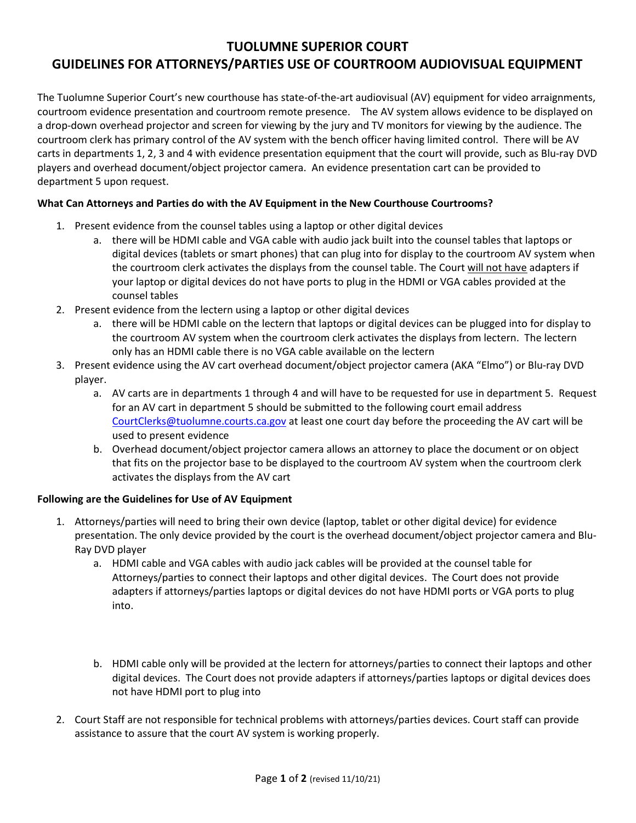## TUOLUMNE SUPERIOR COURT GUIDELINES FOR ATTORNEYS/PARTIES USE OF COURTROOM AUDIOVISUAL EQUIPMENT

The Tuolumne Superior Court's new courthouse has state-of-the-art audiovisual (AV) equipment for video arraignments, courtroom evidence presentation and courtroom remote presence. The AV system allows evidence to be displayed on a drop-down overhead projector and screen for viewing by the jury and TV monitors for viewing by the audience. The courtroom clerk has primary control of the AV system with the bench officer having limited control. There will be AV carts in departments 1, 2, 3 and 4 with evidence presentation equipment that the court will provide, such as Blu-ray DVD players and overhead document/object projector camera. An evidence presentation cart can be provided to department 5 upon request.

## What Can Attorneys and Parties do with the AV Equipment in the New Courthouse Courtrooms?

- 1. Present evidence from the counsel tables using a laptop or other digital devices
	- a. there will be HDMI cable and VGA cable with audio jack built into the counsel tables that laptops or digital devices (tablets or smart phones) that can plug into for display to the courtroom AV system when the courtroom clerk activates the displays from the counsel table. The Court will not have adapters if your laptop or digital devices do not have ports to plug in the HDMI or VGA cables provided at the counsel tables
- 2. Present evidence from the lectern using a laptop or other digital devices
	- a. there will be HDMI cable on the lectern that laptops or digital devices can be plugged into for display to the courtroom AV system when the courtroom clerk activates the displays from lectern. The lectern only has an HDMI cable there is no VGA cable available on the lectern
- 3. Present evidence using the AV cart overhead document/object projector camera (AKA "Elmo") or Blu-ray DVD player.
	- a. AV carts are in departments 1 through 4 and will have to be requested for use in department 5. Request for an AV cart in department 5 should be submitted to the following court email address CourtClerks@tuolumne.courts.ca.gov at least one court day before the proceeding the AV cart will be used to present evidence
	- b. Overhead document/object projector camera allows an attorney to place the document or on object that fits on the projector base to be displayed to the courtroom AV system when the courtroom clerk activates the displays from the AV cart

## Following are the Guidelines for Use of AV Equipment

- 1. Attorneys/parties will need to bring their own device (laptop, tablet or other digital device) for evidence presentation. The only device provided by the court is the overhead document/object projector camera and Blu-Ray DVD player
	- a. HDMI cable and VGA cables with audio jack cables will be provided at the counsel table for Attorneys/parties to connect their laptops and other digital devices. The Court does not provide adapters if attorneys/parties laptops or digital devices do not have HDMI ports or VGA ports to plug into.
	- b. HDMI cable only will be provided at the lectern for attorneys/parties to connect their laptops and other digital devices. The Court does not provide adapters if attorneys/parties laptops or digital devices does not have HDMI port to plug into
- 2. Court Staff are not responsible for technical problems with attorneys/parties devices. Court staff can provide assistance to assure that the court AV system is working properly.